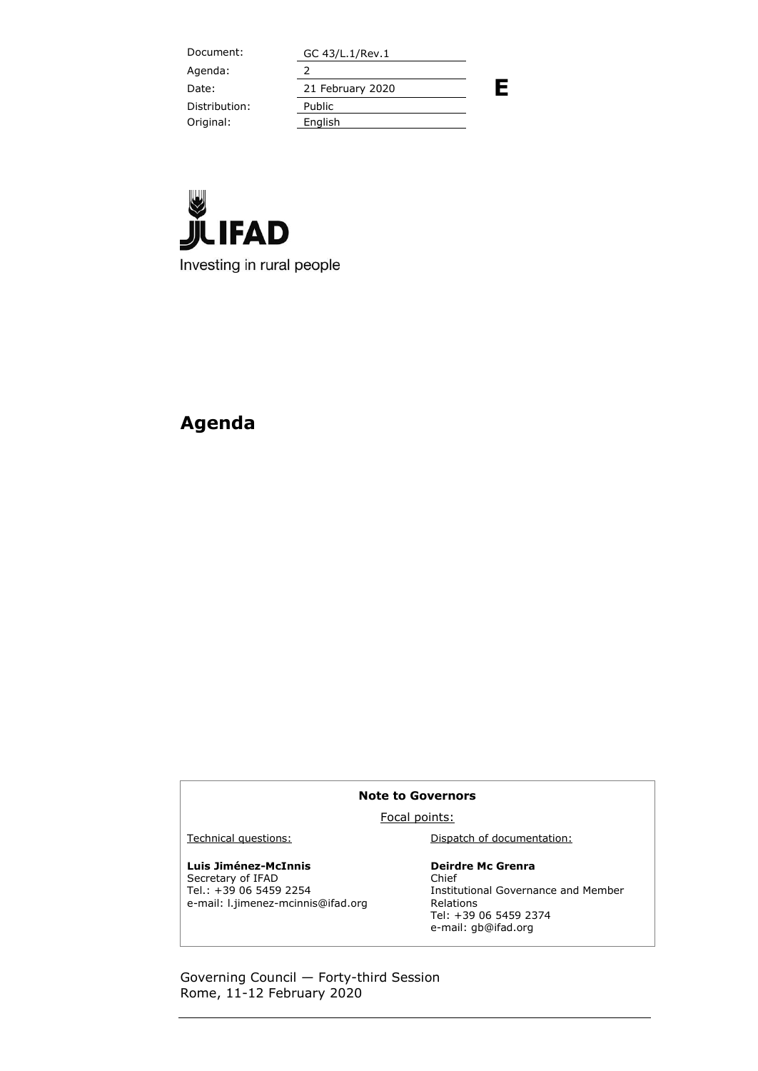Document: GC 43/L.1/Rev.1 **E** Agenda: 2 Date: 21 February 2020 Distribution: Public Original: English



## **Agenda**

#### **Note to Governors**

Focal points:

Technical questions: Dispatch of documentation:

### **Luis Jiménez-McInnis**

Secretary of IFAD Tel.: +39 06 5459 2254 e-mail: l.jimenez-mcinnis@ifad.org

#### **Deirdre Mc Grenra** Chief Institutional Governance and Member

Relations Tel: +39 06 5459 2374 e-mail: gb@ifad.org

Governing Council — Forty-third Session Rome, 11-12 February 2020